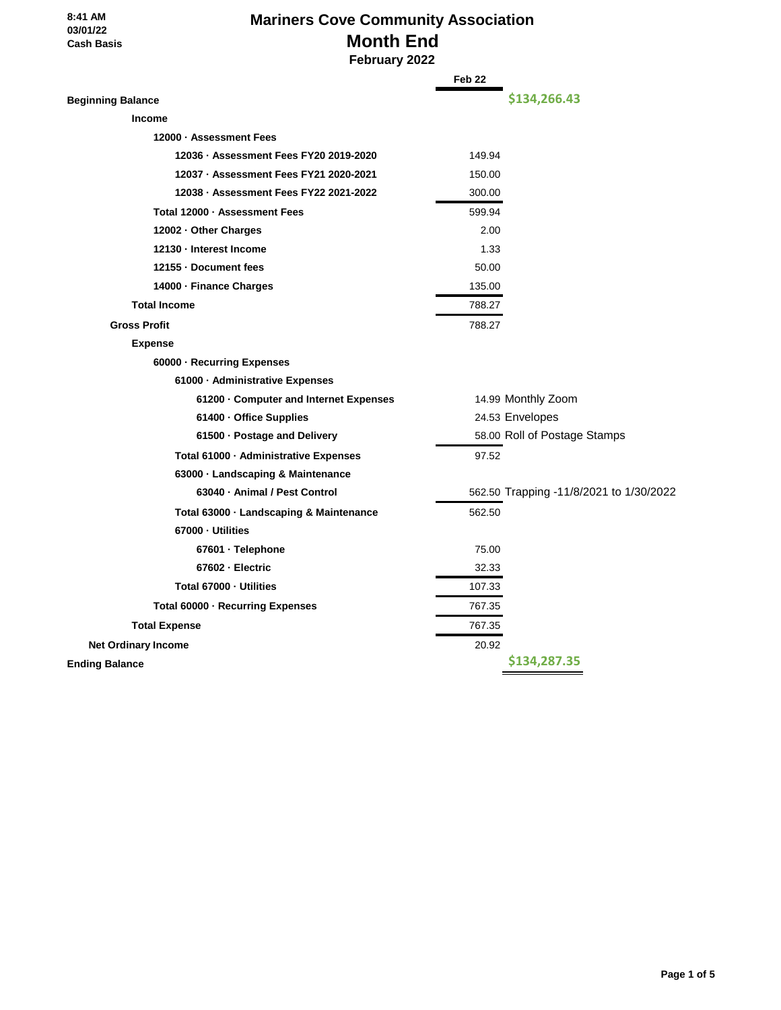# **Mariners Cove Community Association Month End February 2022**

|                                         | Feb <sub>22</sub>                       |  |
|-----------------------------------------|-----------------------------------------|--|
| <b>Beginning Balance</b>                | \$134,266.43                            |  |
| <b>Income</b>                           |                                         |  |
| 12000 · Assessment Fees                 |                                         |  |
| 12036 · Assessment Fees FY20 2019-2020  | 149.94                                  |  |
| 12037 · Assessment Fees FY21 2020-2021  | 150.00                                  |  |
| 12038 · Assessment Fees FY22 2021-2022  | 300.00                                  |  |
| Total 12000 - Assessment Fees           | 599.94                                  |  |
| 12002 - Other Charges                   | 2.00                                    |  |
| 12130 - Interest Income                 | 1.33                                    |  |
| 12155 - Document fees                   | 50.00                                   |  |
| 14000 - Finance Charges                 | 135.00                                  |  |
| <b>Total Income</b>                     | 788.27                                  |  |
| <b>Gross Profit</b>                     | 788.27                                  |  |
| <b>Expense</b>                          |                                         |  |
| 60000 · Recurring Expenses              |                                         |  |
| 61000 - Administrative Expenses         |                                         |  |
| 61200 Gomputer and Internet Expenses    | 14.99 Monthly Zoom                      |  |
| 61400 · Office Supplies                 | 24.53 Envelopes                         |  |
| 61500 · Postage and Delivery            | 58.00 Roll of Postage Stamps            |  |
| Total 61000 · Administrative Expenses   | 97.52                                   |  |
| 63000 · Landscaping & Maintenance       |                                         |  |
| 63040 - Animal / Pest Control           | 562.50 Trapping -11/8/2021 to 1/30/2022 |  |
| Total 63000 · Landscaping & Maintenance | 562.50                                  |  |
| 67000 - Utilities                       |                                         |  |
| 67601 · Telephone                       | 75.00                                   |  |
| 67602 · Electric                        | 32.33                                   |  |
| Total 67000 - Utilities                 | 107.33                                  |  |
| Total 60000 · Recurring Expenses        | 767.35                                  |  |
| <b>Total Expense</b>                    | 767.35                                  |  |
| <b>Net Ordinary Income</b>              | 20.92                                   |  |
| <b>Ending Balance</b>                   | \$134,287.35                            |  |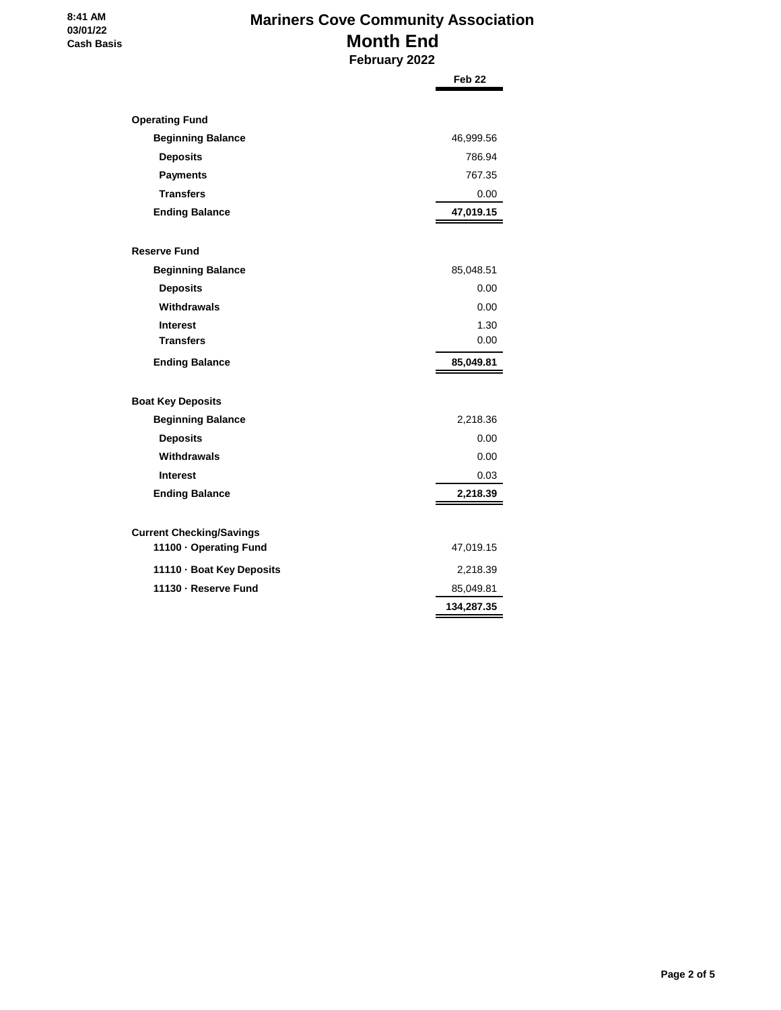#### **8:41 AM 03/01/22 Cash Basis**

# **Mariners Cove Community Association Month End February 2022**

|                                                           | Feb <sub>22</sub> |
|-----------------------------------------------------------|-------------------|
|                                                           |                   |
| <b>Operating Fund</b>                                     |                   |
| <b>Beginning Balance</b>                                  | 46,999.56         |
| <b>Deposits</b>                                           | 786.94            |
| <b>Payments</b>                                           | 767.35            |
| <b>Transfers</b>                                          | 0.00              |
| <b>Ending Balance</b>                                     | 47,019.15         |
| <b>Reserve Fund</b>                                       |                   |
| <b>Beginning Balance</b>                                  | 85,048.51         |
| <b>Deposits</b>                                           | 0.00              |
| Withdrawals                                               | 0.00              |
| <b>Interest</b>                                           | 1.30              |
| <b>Transfers</b>                                          | 0.00              |
| <b>Ending Balance</b>                                     | 85,049.81         |
|                                                           |                   |
| <b>Boat Key Deposits</b>                                  |                   |
| <b>Beginning Balance</b>                                  | 2,218.36          |
| <b>Deposits</b>                                           | 0.00              |
| Withdrawals                                               | 0.00              |
| <b>Interest</b>                                           | 0.03              |
| <b>Ending Balance</b>                                     | 2,218.39          |
|                                                           |                   |
| <b>Current Checking/Savings</b><br>11100 · Operating Fund | 47,019.15         |
| 11110 · Boat Key Deposits                                 | 2,218.39          |
| 11130 - Reserve Fund                                      | 85,049.81         |
|                                                           | 134,287.35        |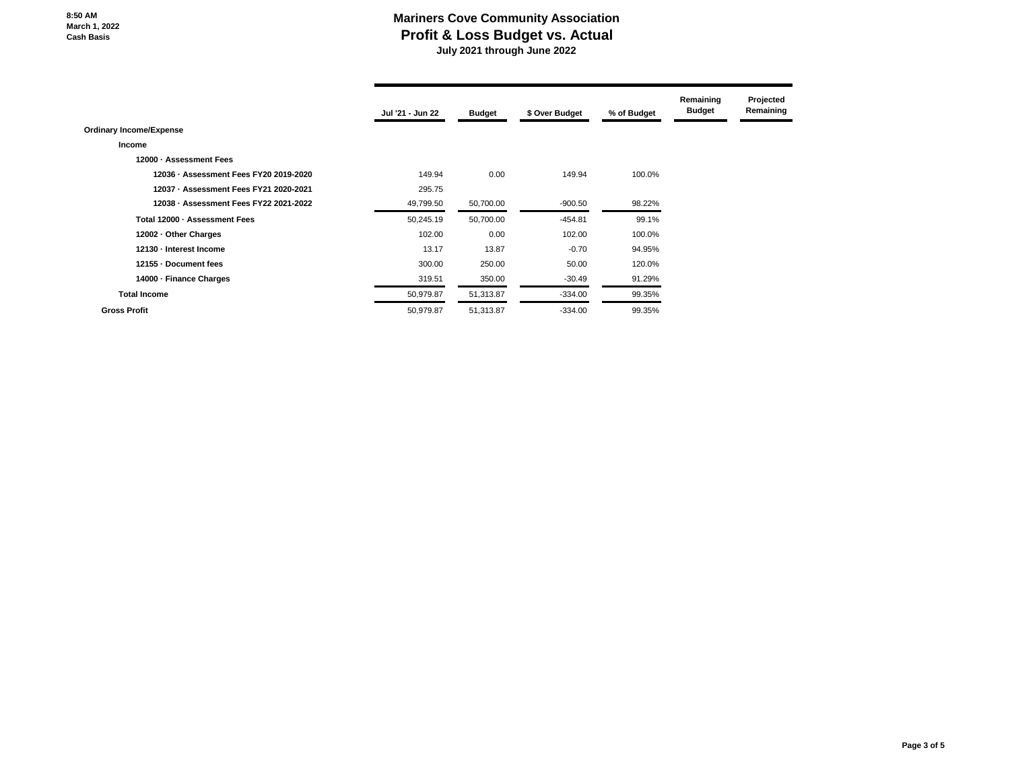### **Mariners Cove Community Association Profit & Loss Budget vs. Actual July 2021 through June 2022**

|                                        | Jul '21 - Jun 22 | <b>Budget</b> | \$ Over Budget | % of Budget | Remaining<br><b>Budget</b> | Projected<br>Remaining |
|----------------------------------------|------------------|---------------|----------------|-------------|----------------------------|------------------------|
| <b>Ordinary Income/Expense</b>         |                  |               |                |             |                            |                        |
| Income                                 |                  |               |                |             |                            |                        |
| 12000 - Assessment Fees                |                  |               |                |             |                            |                        |
| 12036 · Assessment Fees FY20 2019-2020 | 149.94           | 0.00          | 149.94         | 100.0%      |                            |                        |
| 12037 · Assessment Fees FY21 2020-2021 | 295.75           |               |                |             |                            |                        |
| 12038 - Assessment Fees FY22 2021-2022 | 49,799.50        | 50,700.00     | $-900.50$      | 98.22%      |                            |                        |
| Total 12000 - Assessment Fees          | 50,245.19        | 50,700.00     | $-454.81$      | 99.1%       |                            |                        |
| 12002 - Other Charges                  | 102.00           | 0.00          | 102.00         | 100.0%      |                            |                        |
| 12130 - Interest Income                | 13.17            | 13.87         | $-0.70$        | 94.95%      |                            |                        |
| 12155 - Document fees                  | 300.00           | 250.00        | 50.00          | 120.0%      |                            |                        |
| 14000 - Finance Charges                | 319.51           | 350.00        | $-30.49$       | 91.29%      |                            |                        |
| <b>Total Income</b>                    | 50,979.87        | 51,313.87     | $-334.00$      | 99.35%      |                            |                        |
| <b>Gross Profit</b>                    | 50,979.87        | 51,313.87     | $-334.00$      | 99.35%      |                            |                        |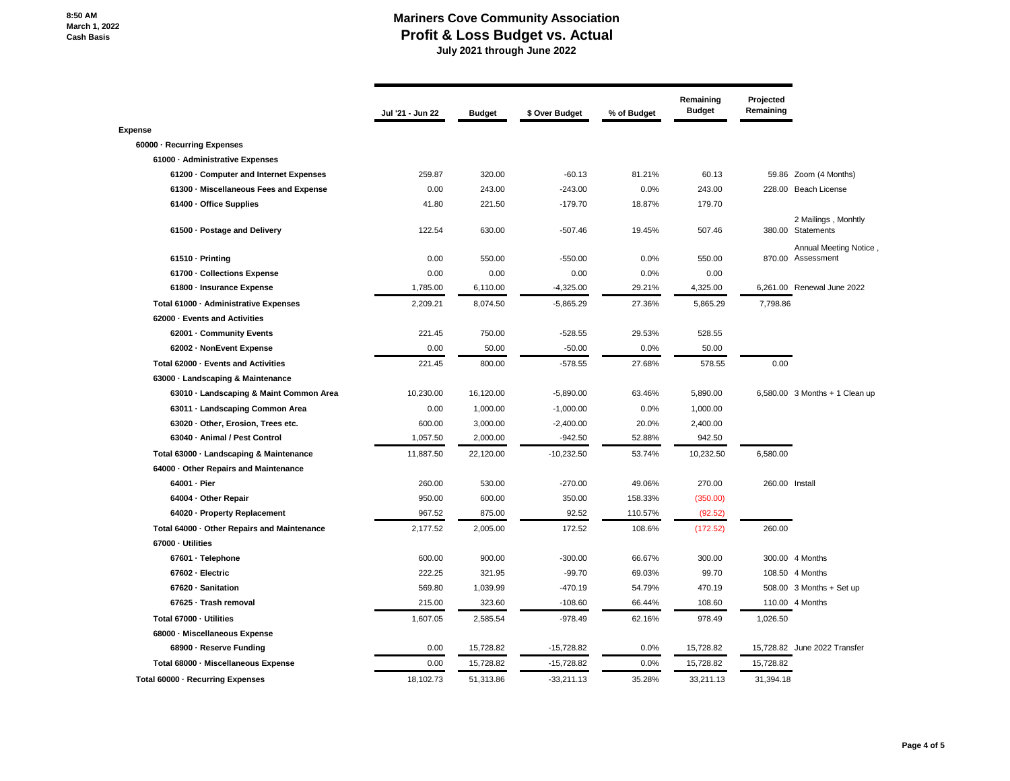#### **Mariners Cove Community Association Profit & Loss Budget vs. Actual July 2021 through June 2022**

|                                             | Jul '21 - Jun 22 | <b>Budget</b> | \$ Over Budget | % of Budget | Remaining<br><b>Budget</b> | Projected<br>Remaining |                                             |
|---------------------------------------------|------------------|---------------|----------------|-------------|----------------------------|------------------------|---------------------------------------------|
| Expense                                     |                  |               |                |             |                            |                        |                                             |
| 60000 · Recurring Expenses                  |                  |               |                |             |                            |                        |                                             |
| 61000 - Administrative Expenses             |                  |               |                |             |                            |                        |                                             |
| 61200 Computer and Internet Expenses        | 259.87           | 320.00        | $-60.13$       | 81.21%      | 60.13                      |                        | 59.86 Zoom (4 Months)                       |
| 61300 - Miscellaneous Fees and Expense      | 0.00             | 243.00        | $-243.00$      | 0.0%        | 243.00                     |                        | 228.00 Beach License                        |
| 61400 · Office Supplies                     | 41.80            | 221.50        | $-179.70$      | 18.87%      | 179.70                     |                        |                                             |
| 61500 · Postage and Delivery                | 122.54           | 630.00        | $-507.46$      | 19.45%      | 507.46                     |                        | 2 Mailings, Monhtly<br>380.00 Statements    |
| 61510 - Printing                            | 0.00             | 550.00        | $-550.00$      | 0.0%        | 550.00                     |                        | Annual Meeting Notice,<br>870.00 Assessment |
| 61700 - Collections Expense                 | 0.00             | 0.00          | 0.00           | 0.0%        | 0.00                       |                        |                                             |
| 61800 - Insurance Expense                   | 1,785.00         | 6,110.00      | $-4,325.00$    | 29.21%      | 4,325.00                   |                        | 6,261.00 Renewal June 2022                  |
| Total 61000 - Administrative Expenses       | 2,209.21         | 8,074.50      | $-5,865.29$    | 27.36%      | 5,865.29                   | 7,798.86               |                                             |
| 62000 - Events and Activities               |                  |               |                |             |                            |                        |                                             |
| 62001 - Community Events                    | 221.45           | 750.00        | $-528.55$      | 29.53%      | 528.55                     |                        |                                             |
| 62002 - NonEvent Expense                    | 0.00             | 50.00         | $-50.00$       | 0.0%        | 50.00                      |                        |                                             |
| Total 62000 - Events and Activities         | 221.45           | 800.00        | $-578.55$      | 27.68%      | 578.55                     | 0.00                   |                                             |
| 63000 · Landscaping & Maintenance           |                  |               |                |             |                            |                        |                                             |
| 63010 - Landscaping & Maint Common Area     | 10,230.00        | 16,120.00     | $-5,890.00$    | 63.46%      | 5,890.00                   |                        | $6,580.00$ 3 Months + 1 Clean up            |
| 63011 · Landscaping Common Area             | 0.00             | 1,000.00      | $-1,000.00$    | 0.0%        | 1,000.00                   |                        |                                             |
| 63020 · Other, Erosion, Trees etc.          | 600.00           | 3,000.00      | $-2,400.00$    | 20.0%       | 2,400.00                   |                        |                                             |
| 63040 · Animal / Pest Control               | 1,057.50         | 2,000.00      | $-942.50$      | 52.88%      | 942.50                     |                        |                                             |
| Total 63000 · Landscaping & Maintenance     | 11,887.50        | 22,120.00     | $-10,232.50$   | 53.74%      | 10,232.50                  | 6,580.00               |                                             |
| 64000 · Other Repairs and Maintenance       |                  |               |                |             |                            |                        |                                             |
| 64001 · Pier                                | 260.00           | 530.00        | $-270.00$      | 49.06%      | 270.00                     | 260.00 Install         |                                             |
| 64004 - Other Repair                        | 950.00           | 600.00        | 350.00         | 158.33%     | (350.00)                   |                        |                                             |
| 64020 · Property Replacement                | 967.52           | 875.00        | 92.52          | 110.57%     | (92.52)                    |                        |                                             |
| Total 64000 · Other Repairs and Maintenance | 2,177.52         | 2,005.00      | 172.52         | 108.6%      | (172.52)                   | 260.00                 |                                             |
| 67000 - Utilities                           |                  |               |                |             |                            |                        |                                             |
| 67601 · Telephone                           | 600.00           | 900.00        | $-300.00$      | 66.67%      | 300.00                     |                        | 300.00 4 Months                             |
| 67602 - Electric                            | 222.25           | 321.95        | $-99.70$       | 69.03%      | 99.70                      |                        | 108.50 4 Months                             |
| 67620 · Sanitation                          | 569.80           | 1,039.99      | $-470.19$      | 54.79%      | 470.19                     |                        | 508.00 3 Months + Set up                    |
| 67625 · Trash removal                       | 215.00           | 323.60        | $-108.60$      | 66.44%      | 108.60                     |                        | 110.00 4 Months                             |
| Total 67000 - Utilities                     | 1,607.05         | 2,585.54      | $-978.49$      | 62.16%      | 978.49                     | 1,026.50               |                                             |
| 68000 - Miscellaneous Expense               |                  |               |                |             |                            |                        |                                             |
| 68900 - Reserve Funding                     | 0.00             | 15,728.82     | $-15,728.82$   | 0.0%        | 15,728.82                  | 15,728.82              | June 2022 Transfer                          |
| Total 68000 - Miscellaneous Expense         | 0.00             | 15,728.82     | $-15,728.82$   | 0.0%        | 15,728.82                  | 15,728.82              |                                             |
| Total 60000 - Recurring Expenses            | 18.102.73        | 51,313.86     | $-33,211.13$   | 35.28%      | 33,211.13                  | 31.394.18              |                                             |